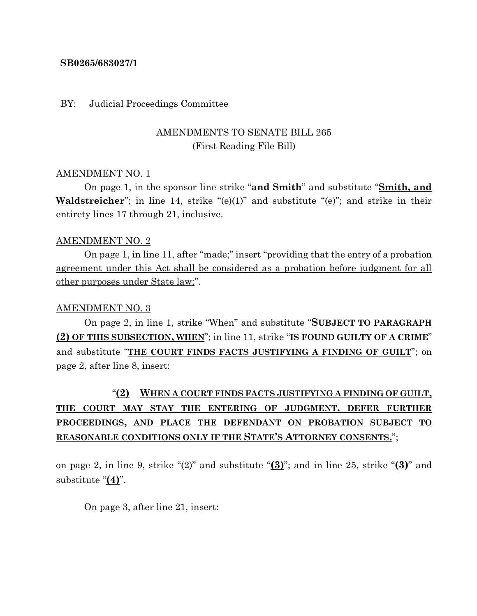### **SB0265/683027/1**

#### BY: Judicial Proceedings Committee

## AMENDMENTS TO SENATE BILL 265 (First Reading File Bill)

#### AMENDMENT NO. 1

On page 1, in the sponsor line strike "**and Smith**" and substitute "**Smith, and Waldstreicher**"; in line 14, strike "(e)(1)" and substitute "(e)"; and strike in their entirety lines 17 through 21, inclusive.

#### AMENDMENT NO. 2

On page 1, in line 11, after "made;" insert "providing that the entry of a probation agreement under this Act shall be considered as a probation before judgment for all other purposes under State law;".

#### AMENDMENT NO. 3

On page 2, in line 1, strike "When" and substitute "**SUBJECT TO PARAGRAPH (2) OF THIS SUBSECTION, WHEN**"; in line 11, strike "**IS FOUND GUILTY OF A CRIME**" and substitute "**THE COURT FINDS FACTS JUSTIFYING A FINDING OF GUILT**"; on page 2, after line 8, insert:

# "**(2) WHEN A COURT FINDS FACTS JUSTIFYING A FINDING OF GUILT, THE COURT MAY STAY THE ENTERING OF JUDGMENT, DEFER FURTHER PROCEEDINGS, AND PLACE THE DEFENDANT ON PROBATION SUBJECT TO REASONABLE CONDITIONS ONLY IF THE STATE'S ATTORNEY CONSENTS.**";

on page 2, in line 9, strike "(2)" and substitute "**(3)**"; and in line 25, strike "**(3)**" and substitute "**(4)**".

On page 3, after line 21, insert: